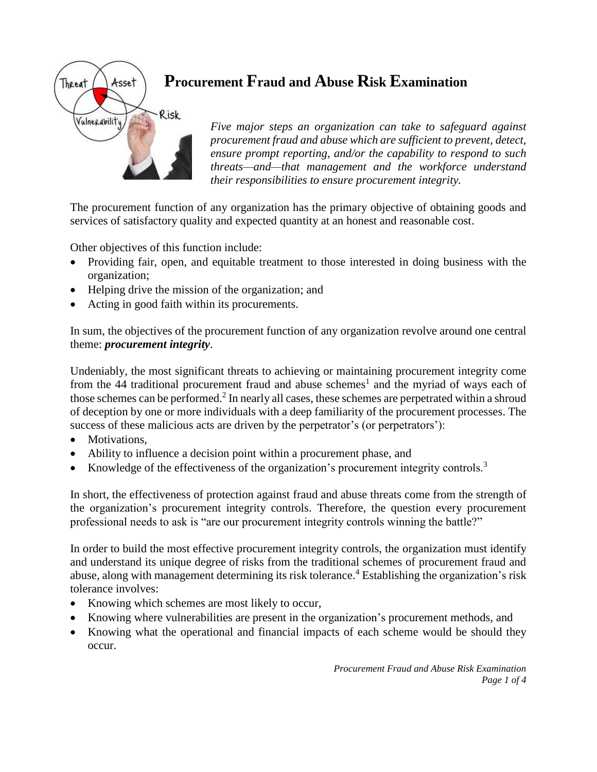

# **Procurement Fraud and Abuse Risk Examination**

*Five major steps an organization can take to safeguard against procurement fraud and abuse which are sufficient to prevent, detect, ensure prompt reporting, and/or the capability to respond to such threats—and—that management and the workforce understand their responsibilities to ensure procurement integrity.*

The procurement function of any organization has the primary objective of obtaining goods and services of satisfactory quality and expected quantity at an honest and reasonable cost.

Other objectives of this function include:

- Providing fair, open, and equitable treatment to those interested in doing business with the organization;
- Helping drive the mission of the organization; and
- Acting in good faith within its procurements.

In sum, the objectives of the procurement function of any organization revolve around one central theme: *procurement integrity*.

Undeniably, the most significant threats to achieving or maintaining procurement integrity come from the 44 traditional procurement fraud and abuse schemes<sup>1</sup> and the myriad of ways each of those schemes can be performed.<sup>2</sup> In nearly all cases, these schemes are perpetrated within a shroud of deception by one or more individuals with a deep familiarity of the procurement processes. The success of these malicious acts are driven by the perpetrator's (or perpetrators'):

- Motivations.
- Ability to influence a decision point within a procurement phase, and
- Knowledge of the effectiveness of the organization's procurement integrity controls.<sup>3</sup>

In short, the effectiveness of protection against fraud and abuse threats come from the strength of the organization's procurement integrity controls. Therefore, the question every procurement professional needs to ask is "are our procurement integrity controls winning the battle?"

In order to build the most effective procurement integrity controls, the organization must identify and understand its unique degree of risks from the traditional schemes of procurement fraud and abuse, along with management determining its risk tolerance.<sup>4</sup> Establishing the organization's risk tolerance involves:

- Knowing which schemes are most likely to occur,
- Knowing where vulnerabilities are present in the organization's procurement methods, and
- Knowing what the operational and financial impacts of each scheme would be should they occur.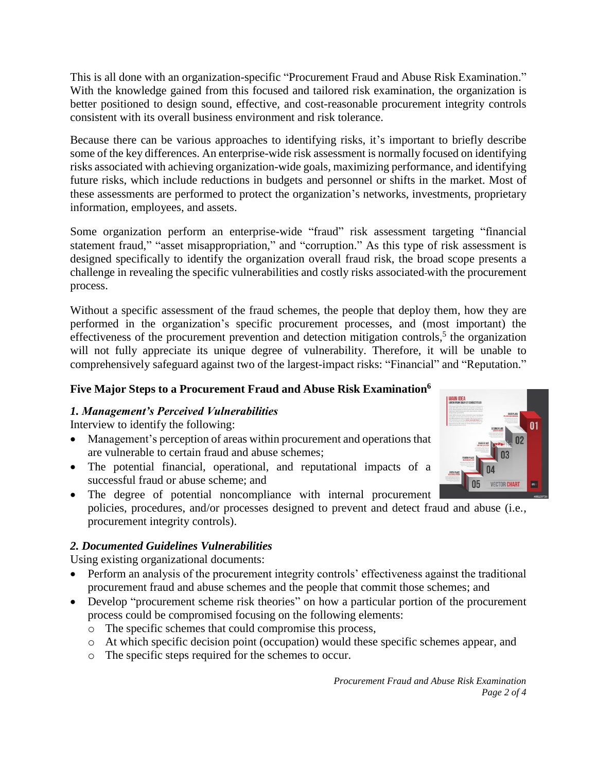This is all done with an organization-specific "Procurement Fraud and Abuse Risk Examination." With the knowledge gained from this focused and tailored risk examination, the organization is better positioned to design sound, effective, and cost-reasonable procurement integrity controls consistent with its overall business environment and risk tolerance.

Because there can be various approaches to identifying risks, it's important to briefly describe some of the key differences. An enterprise-wide risk assessment is normally focused on identifying risks associated with achieving organization-wide goals, maximizing performance, and identifying future risks, which include reductions in budgets and personnel or shifts in the market. Most of these assessments are performed to protect the organization's networks, investments, proprietary information, employees, and assets.

Some organization perform an enterprise-wide "fraud" risk assessment targeting "financial statement fraud," "asset misappropriation," and "corruption." As this type of risk assessment is designed specifically to identify the organization overall fraud risk, the broad scope presents a challenge in revealing the specific vulnerabilities and costly risks associated with the procurement process.

Without a specific assessment of the fraud schemes, the people that deploy them, how they are performed in the organization's specific procurement processes, and (most important) the effectiveness of the procurement prevention and detection mitigation controls,<sup>5</sup> the organization will not fully appreciate its unique degree of vulnerability. Therefore, it will be unable to comprehensively safeguard against two of the largest-impact risks: "Financial" and "Reputation."

## **Five Major Steps to a Procurement Fraud and Abuse Risk Examination<sup>6</sup>**

### *1. Management's Perceived Vulnerabilities*

Interview to identify the following:

- Management's perception of areas within procurement and operations that are vulnerable to certain fraud and abuse schemes;
- The potential financial, operational, and reputational impacts of a successful fraud or abuse scheme; and
- The degree of potential noncompliance with internal procurement policies, procedures, and/or processes designed to prevent and detect fraud and abuse (i.e., procurement integrity controls).

### *2. Documented Guidelines Vulnerabilities*

Using existing organizational documents:

- Perform an analysis of the procurement integrity controls' effectiveness against the traditional procurement fraud and abuse schemes and the people that commit those schemes; and
- Develop "procurement scheme risk theories" on how a particular portion of the procurement process could be compromised focusing on the following elements:
	- o The specific schemes that could compromise this process,
	- o At which specific decision point (occupation) would these specific schemes appear, and
	- o The specific steps required for the schemes to occur.

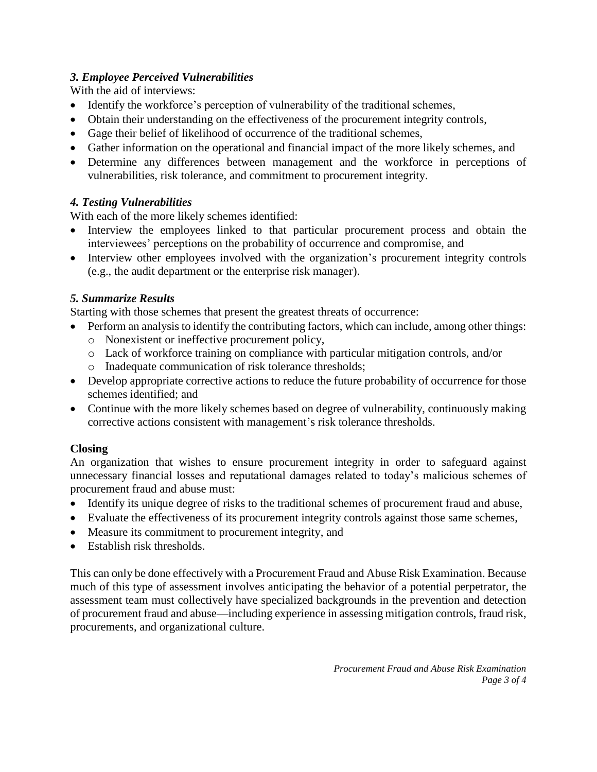## *3. Employee Perceived Vulnerabilities*

With the aid of interviews:

- Identify the workforce's perception of vulnerability of the traditional schemes,
- Obtain their understanding on the effectiveness of the procurement integrity controls,
- Gage their belief of likelihood of occurrence of the traditional schemes,
- Gather information on the operational and financial impact of the more likely schemes, and
- Determine any differences between management and the workforce in perceptions of vulnerabilities, risk tolerance, and commitment to procurement integrity.

# *4. Testing Vulnerabilities*

With each of the more likely schemes identified:

- Interview the employees linked to that particular procurement process and obtain the interviewees' perceptions on the probability of occurrence and compromise, and
- Interview other employees involved with the organization's procurement integrity controls (e.g., the audit department or the enterprise risk manager).

# *5. Summarize Results*

Starting with those schemes that present the greatest threats of occurrence:

- Perform an analysis to identify the contributing factors, which can include, among other things:
	- o Nonexistent or ineffective procurement policy,
	- o Lack of workforce training on compliance with particular mitigation controls, and/or
	- o Inadequate communication of risk tolerance thresholds;
- Develop appropriate corrective actions to reduce the future probability of occurrence for those schemes identified; and
- Continue with the more likely schemes based on degree of vulnerability, continuously making corrective actions consistent with management's risk tolerance thresholds.

# **Closing**

An organization that wishes to ensure procurement integrity in order to safeguard against unnecessary financial losses and reputational damages related to today's malicious schemes of procurement fraud and abuse must:

- Identify its unique degree of risks to the traditional schemes of procurement fraud and abuse,
- Evaluate the effectiveness of its procurement integrity controls against those same schemes,
- Measure its commitment to procurement integrity, and
- Establish risk thresholds.

This can only be done effectively with a Procurement Fraud and Abuse Risk Examination. Because much of this type of assessment involves anticipating the behavior of a potential perpetrator, the assessment team must collectively have specialized backgrounds in the prevention and detection of procurement fraud and abuse—including experience in assessing mitigation controls, fraud risk, procurements, and organizational culture.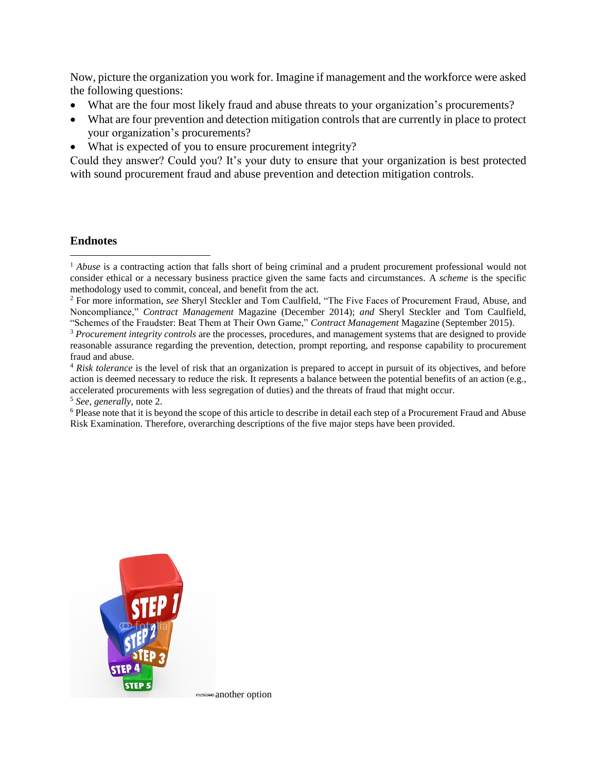Now, picture the organization you work for. Imagine if management and the workforce were asked the following questions:

- What are the four most likely fraud and abuse threats to your organization's procurements?
- What are four prevention and detection mitigation controls that are currently in place to protect your organization's procurements?
- What is expected of you to ensure procurement integrity?

Could they answer? Could you? It's your duty to ensure that your organization is best protected with sound procurement fraud and abuse prevention and detection mitigation controls.

### **Endnotes**

 $\overline{a}$ 



<sup>&</sup>lt;sup>1</sup> *Abuse* is a contracting action that falls short of being criminal and a prudent procurement professional would not consider ethical or a necessary business practice given the same facts and circumstances. A *scheme* is the specific methodology used to commit, conceal, and benefit from the act.

<sup>2</sup> For more information, *see* Sheryl Steckler and Tom Caulfield, "The Five Faces of Procurement Fraud, Abuse, and Noncompliance," *Contract Management* Magazine (December 2014); *and* Sheryl Steckler and Tom Caulfield, "Schemes of the Fraudster: Beat Them at Their Own Game," *Contract Management* Magazine (September 2015).

<sup>3</sup> *Procurement integrity controls* are the processes, procedures, and management systems that are designed to provide reasonable assurance regarding the prevention, detection, prompt reporting, and response capability to procurement fraud and abuse.

<sup>4</sup> *Risk tolerance* is the level of risk that an organization is prepared to accept in pursuit of its objectives, and before action is deemed necessary to reduce the risk. It represents a balance between the potential benefits of an action (e.g., accelerated procurements with less segregation of duties) and the threats of fraud that might occur.

<sup>5</sup> *See, generally,* note 2.

<sup>&</sup>lt;sup>6</sup> Please note that it is beyond the scope of this article to describe in detail each step of a Procurement Fraud and Abuse Risk Examination. Therefore, overarching descriptions of the five major steps have been provided.